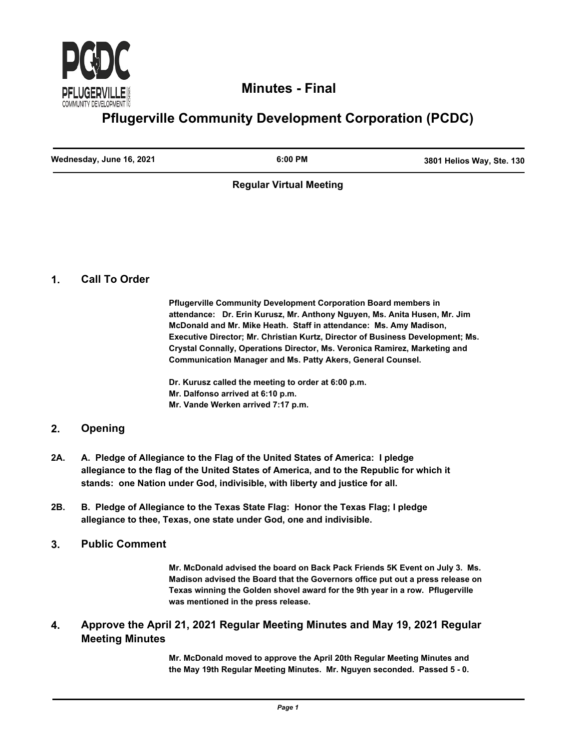

## **Minutes - Final**

# **Pflugerville Community Development Corporation (PCDC)**

| Wednesday, June 16, 2021 | $6:00$ PM | 3801 Helios Way, Ste. 130 |
|--------------------------|-----------|---------------------------|
|                          |           |                           |

#### **Regular Virtual Meeting**

#### **1. Call To Order**

**Pflugerville Community Development Corporation Board members in attendance: Dr. Erin Kurusz, Mr. Anthony Nguyen, Ms. Anita Husen, Mr. Jim McDonald and Mr. Mike Heath. Staff in attendance: Ms. Amy Madison, Executive Director; Mr. Christian Kurtz, Director of Business Development; Ms. Crystal Connally, Operations Director, Ms. Veronica Ramirez, Marketing and Communication Manager and Ms. Patty Akers, General Counsel.**

**Dr. Kurusz called the meeting to order at 6:00 p.m. Mr. Dalfonso arrived at 6:10 p.m. Mr. Vande Werken arrived 7:17 p.m.**

### **2. Opening**

- **A. Pledge of Allegiance to the Flag of the United States of America: I pledge allegiance to the flag of the United States of America, and to the Republic for which it stands: one Nation under God, indivisible, with liberty and justice for all. 2A.**
- **B. Pledge of Allegiance to the Texas State Flag: Honor the Texas Flag; I pledge allegiance to thee, Texas, one state under God, one and indivisible. 2B.**
- **3. Public Comment**

**Mr. McDonald advised the board on Back Pack Friends 5K Event on July 3. Ms. Madison advised the Board that the Governors office put out a press release on Texas winning the Golden shovel award for the 9th year in a row. Pflugerville was mentioned in the press release.**

#### **Approve the April 21, 2021 Regular Meeting Minutes and May 19, 2021 Regular Meeting Minutes 4.**

**Mr. McDonald moved to approve the April 20th Regular Meeting Minutes and the May 19th Regular Meeting Minutes. Mr. Nguyen seconded. Passed 5 - 0.**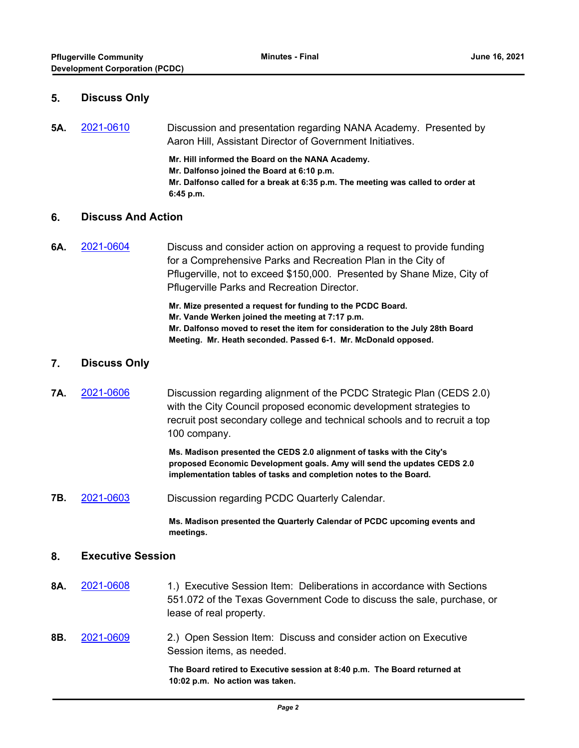#### **5. Discuss Only**

**5A.** [2021-0610](http://pflugerville.legistar.com/gateway.aspx?m=l&id=/matter.aspx?key=11963) Discussion and presentation regarding NANA Academy. Presented by Aaron Hill, Assistant Director of Government Initiatives.

> **Mr. Hill informed the Board on the NANA Academy. Mr. Dalfonso joined the Board at 6:10 p.m. Mr. Dalfonso called for a break at 6:35 p.m. The meeting was called to order at 6:45 p.m.**

#### **6. Discuss And Action**

**6A.** [2021-0604](http://pflugerville.legistar.com/gateway.aspx?m=l&id=/matter.aspx?key=11957) Discuss and consider action on approving a request to provide funding for a Comprehensive Parks and Recreation Plan in the City of Pflugerville, not to exceed \$150,000. Presented by Shane Mize, City of Pflugerville Parks and Recreation Director.

> **Mr. Mize presented a request for funding to the PCDC Board. Mr. Vande Werken joined the meeting at 7:17 p.m. Mr. Dalfonso moved to reset the item for consideration to the July 28th Board Meeting. Mr. Heath seconded. Passed 6-1. Mr. McDonald opposed.**

#### **7. Discuss Only**

**7A.** [2021-0606](http://pflugerville.legistar.com/gateway.aspx?m=l&id=/matter.aspx?key=11959) Discussion regarding alignment of the PCDC Strategic Plan (CEDS 2.0) with the City Council proposed economic development strategies to recruit post secondary college and technical schools and to recruit a top 100 company.

> **Ms. Madison presented the CEDS 2.0 alignment of tasks with the City's proposed Economic Development goals. Amy will send the updates CEDS 2.0 implementation tables of tasks and completion notes to the Board.**

**7B.** [2021-0603](http://pflugerville.legistar.com/gateway.aspx?m=l&id=/matter.aspx?key=11956) Discussion regarding PCDC Quarterly Calendar.

**Ms. Madison presented the Quarterly Calendar of PCDC upcoming events and meetings.**

#### **8. Executive Session**

- **8A.** [2021-0608](http://pflugerville.legistar.com/gateway.aspx?m=l&id=/matter.aspx?key=11961) 1.) Executive Session Item: Deliberations in accordance with Sections 551.072 of the Texas Government Code to discuss the sale, purchase, or lease of real property.
- **8B.** [2021-0609](http://pflugerville.legistar.com/gateway.aspx?m=l&id=/matter.aspx?key=11962) 2.) Open Session Item: Discuss and consider action on Executive Session items, as needed.

**The Board retired to Executive session at 8:40 p.m. The Board returned at 10:02 p.m. No action was taken.**